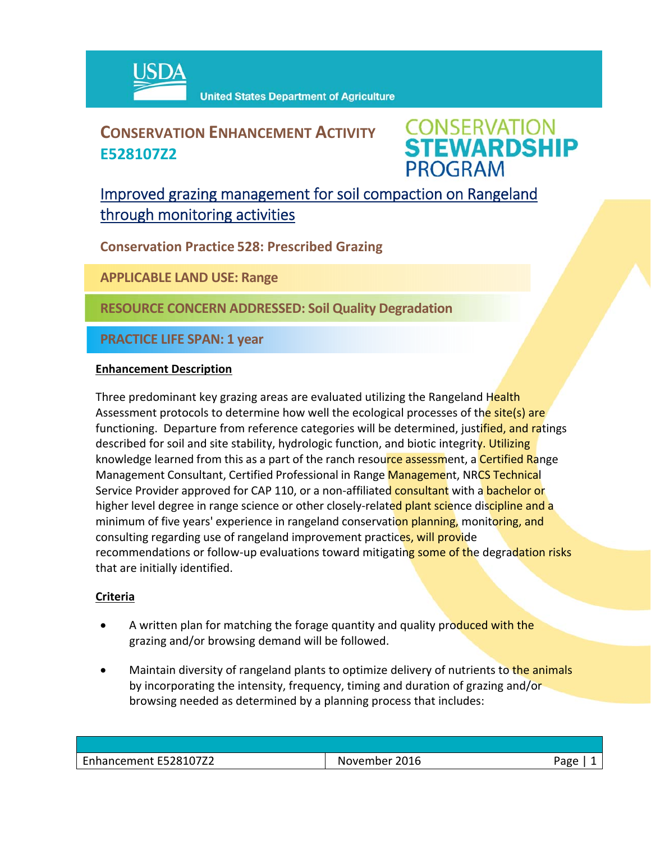

## **CONSERVATION ENHANCEMENT ACTIVITY E528107Z2**

**CONSERVATION<br>STEWARDSHIP PROGRAM** 

## Improved grazing management for soil compaction on Rangeland through monitoring activities

**Conservation Practice 528: Prescribed Grazing**

**APPLICABLE LAND USE: Range**

**RESOURCE CONCERN ADDRESSED: Soil Quality Degradation**

**PRACTICE LIFE SPAN: 1 year**

#### **Enhancement Description**

Three predominant key grazing areas are evaluated utilizing the Rangeland Health Assessment protocols to determine how well the ecological processes of the site(s) are functioning. Departure from reference categories will be determined, justified, and ratings described for soil and site stability, hydrologic function, and biotic integrity. Utilizing knowledge learned from this as a part of the ranch resource assessment, a Certified Range Management Consultant, Certified Professional in Range Management, NRCS Technical Service Provider approved for CAP 110, or a non-affiliated consultant with a bachelor or higher level degree in range science or other closely-related plant science discipline and a minimum of five years' experience in rangeland conservation planning, monitoring, and consulting regarding use of rangeland improvement practices, will provide recommendations or follow-up evaluations toward mitigating some of the degradation risks that are initially identified.

### **Criteria**

- A written plan for matching the forage quantity and quality produced with the grazing and/or browsing demand will be followed.
- Maintain diversity of rangeland plants to optimize delivery of nutrients to the animals by incorporating the intensity, frequency, timing and duration of grazing and/or browsing needed as determined by a planning process that includes:

| Enhancement E528107Z2 | November 2016 | Page |
|-----------------------|---------------|------|
|                       |               |      |